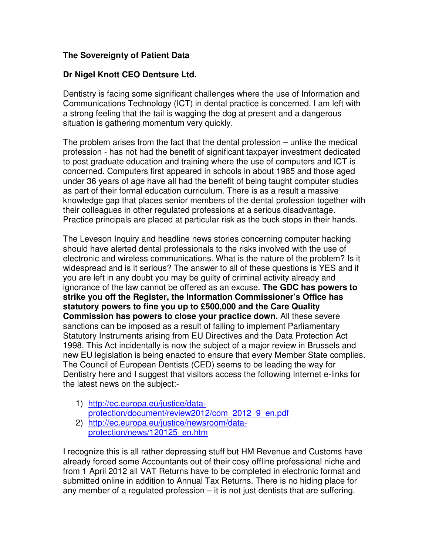## **The Sovereignty of Patient Data**

## **Dr Nigel Knott CEO Dentsure Ltd.**

Dentistry is facing some significant challenges where the use of Information and Communications Technology (ICT) in dental practice is concerned. I am left with a strong feeling that the tail is wagging the dog at present and a dangerous situation is gathering momentum very quickly.

The problem arises from the fact that the dental profession – unlike the medical profession - has not had the benefit of significant taxpayer investment dedicated to post graduate education and training where the use of computers and ICT is concerned. Computers first appeared in schools in about 1985 and those aged under 36 years of age have all had the benefit of being taught computer studies as part of their formal education curriculum. There is as a result a massive knowledge gap that places senior members of the dental profession together with their colleagues in other regulated professions at a serious disadvantage. Practice principals are placed at particular risk as the buck stops in their hands.

The Leveson Inquiry and headline news stories concerning computer hacking should have alerted dental professionals to the risks involved with the use of electronic and wireless communications. What is the nature of the problem? Is it widespread and is it serious? The answer to all of these questions is YES and if you are left in any doubt you may be guilty of criminal activity already and ignorance of the law cannot be offered as an excuse. **The GDC has powers to strike you off the Register, the Information Commissioner's Office has statutory powers to fine you up to £500,000 and the Care Quality Commission has powers to close your practice down.** All these severe sanctions can be imposed as a result of failing to implement Parliamentary Statutory Instruments arising from EU Directives and the Data Protection Act 1998. This Act incidentally is now the subject of a major review in Brussels and new EU legislation is being enacted to ensure that every Member State complies. The Council of European Dentists (CED) seems to be leading the way for Dentistry here and I suggest that visitors access the following Internet e-links for the latest news on the subject:-

- 1) http://ec.europa.eu/justice/dataprotection/document/review2012/com\_2012\_9\_en.pdf
- 2) http://ec.europa.eu/justice/newsroom/dataprotection/news/120125\_en.htm

I recognize this is all rather depressing stuff but HM Revenue and Customs have already forced some Accountants out of their cosy offline professional niche and from 1 April 2012 all VAT Returns have to be completed in electronic format and submitted online in addition to Annual Tax Returns. There is no hiding place for any member of a regulated profession – it is not just dentists that are suffering.